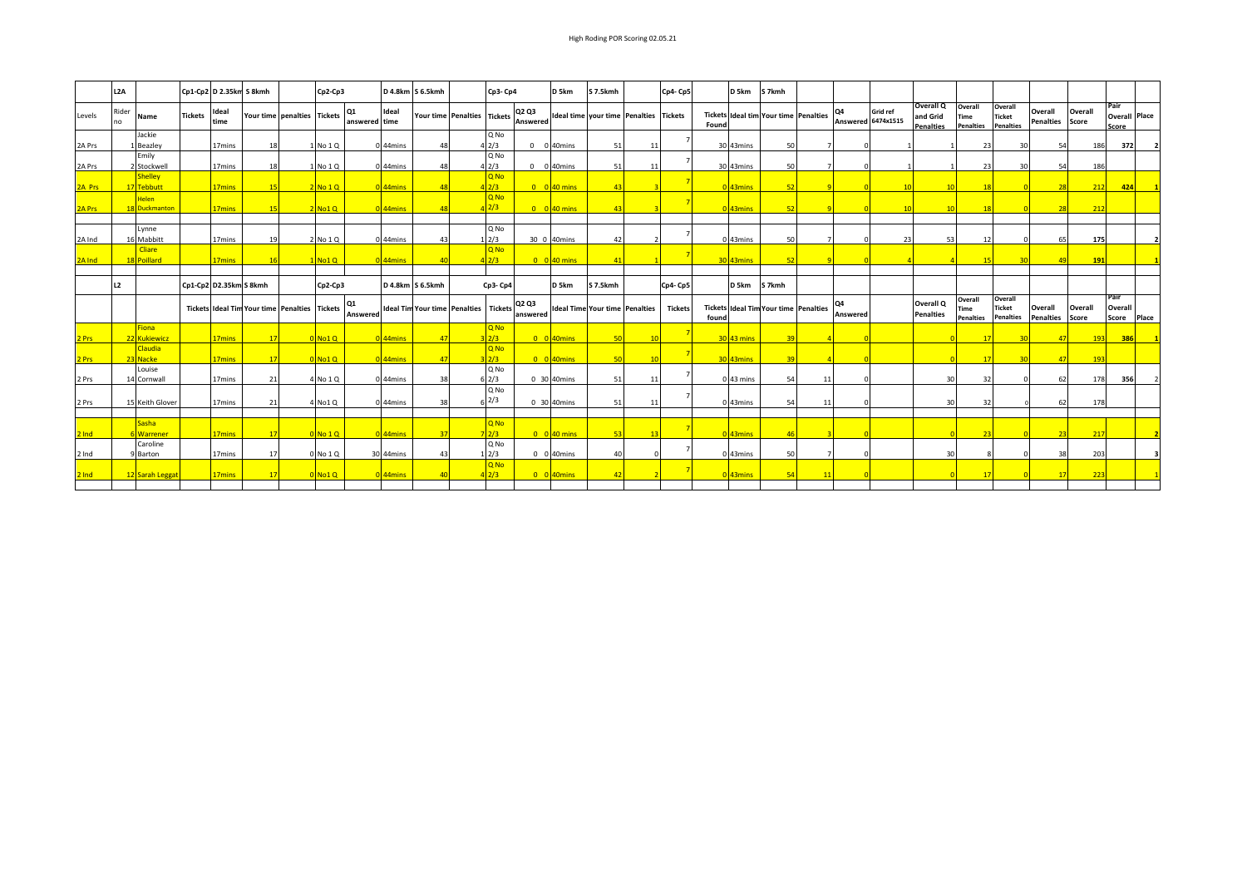|        | L2A         |                              |                | Cp1-Cp2 D 2.35km S 8kmh |                                                      |                             | $Cp2-Cp3$ |                     |                       | D 4.8km S 6.5kmh |                                              | Cp3-Cp4                |                   | D <sub>5</sub> km           | S 7.5kmh                              |     | Cp4-Cp5        |       | D <sub>5</sub> km      | S 7kmh                                       |                            |                                       |                                                  |                                     |                                              |                             |                  |                                       |       |
|--------|-------------|------------------------------|----------------|-------------------------|------------------------------------------------------|-----------------------------|-----------|---------------------|-----------------------|------------------|----------------------------------------------|------------------------|-------------------|-----------------------------|---------------------------------------|-----|----------------|-------|------------------------|----------------------------------------------|----------------------------|---------------------------------------|--------------------------------------------------|-------------------------------------|----------------------------------------------|-----------------------------|------------------|---------------------------------------|-------|
| Levels | Rider<br>no | Name                         | <b>Tickets</b> | Ideal<br>time           |                                                      | Your time penalties Tickets |           | 01<br>answered time | Ideal                 |                  | Your time Penalties Tickets                  |                        | Q2 Q3<br>Answered |                             | <b>Ideal time your time Penalties</b> |     | <b>Tickets</b> | Found |                        | Tickets Ideal tim Your time Penalties        |                            | <b>Grid ref</b><br>Answered 6474x1515 | <b>Overall Q</b><br>and Grid<br><b>Penalties</b> | Overall<br>Time<br><b>Penalties</b> | Overall<br><b>Ticket</b><br><b>Penalties</b> | Overall<br><b>Penalties</b> | Overall<br>Score | Pair<br><b>Overall Place</b><br>Score |       |
| 2A Prs |             | Jackie<br>Beazley            |                | 17 <sub>mins</sub>      |                                                      |                             | No 1 Q    |                     | 44mins                | 48               |                                              | Q No<br>4 2/3          | $\Omega$          | 0 40mins                    | 51                                    |     |                |       | 30 43mins              | 50                                           |                            |                                       |                                                  | 23                                  | 30                                           |                             | 186              | 372                                   |       |
| 2A Prs |             | Emily<br>2 Stockwell         |                | 17 <sub>mins</sub>      |                                                      |                             | No 1 Q    |                     | 0 44mins              | 48               |                                              | Q No<br>42/3           | $\Omega$          | 0 40mins                    | 51                                    | 11  |                |       | 30 43mins              | 50                                           |                            |                                       |                                                  | 23                                  | 30                                           |                             | 186              |                                       |       |
| 2A Prs |             | <b>Shelley</b><br>17 Tebbutt |                | 17 <sub>mins</sub>      |                                                      |                             | NO 1O     |                     | 0 <sup>144</sup> mins | $\overline{AB}$  |                                              | $0$ No<br>2/3          |                   | $0 \t 0$ 40 mins            | 43                                    |     |                |       | 0 <sup>1</sup> 43mins  | 52                                           |                            |                                       |                                                  | $-18$                               |                                              |                             | 212              | 424                                   |       |
| 2A Prs |             | lelen<br>18 Duckmanton       |                | 17 <sub>mins</sub>      |                                                      |                             | No1Q      |                     | $0$ 44mins            | $\overline{AB}$  |                                              | <b>D</b> No<br>2/3     |                   | $0$ 0 40 mins               | 43                                    |     |                |       | 0 <sup>43</sup> mins   | 52                                           |                            |                                       | $\overline{10}$                                  | $-1.5$                              |                                              |                             | 212              |                                       |       |
|        |             | Lynne                        |                |                         |                                                      |                             |           |                     |                       |                  |                                              | Q No                   |                   |                             |                                       |     |                |       |                        |                                              |                            |                                       |                                                  |                                     |                                              |                             |                  |                                       |       |
| 2A Ind |             | 16 Mabbitt<br><b>Cliare</b>  |                | 17mins                  |                                                      |                             | No 1Q     |                     | 44mins                | 43               |                                              | 1/2/3<br>$Q$ No        |                   | 30 0 40mins                 | 42                                    |     |                |       | 0 43mins               | 50                                           |                            | 23                                    | 53                                               | 12                                  |                                              | 65                          | 175              |                                       |       |
| 2A Ind |             | 18 Poillard                  |                | 17 <sub>mins</sub>      |                                                      |                             | No1Q      |                     | 44 <sub>mins</sub>    | $\overline{40}$  |                                              | 2/3                    |                   | $0 \quad 0$ 40 mins         | 41                                    |     |                |       | 30 43mins              |                                              |                            |                                       |                                                  | $\blacksquare$                      |                                              |                             | 191              |                                       |       |
|        | L2          |                              |                | Cp1-Cp2 D2.35km S 8kmh  |                                                      |                             | $Cp2-Cp3$ |                     |                       | D 4.8km S 6.5kmh |                                              | $Cp3-Cp4$              |                   | D <sub>5</sub> km           | S 7.5kmh                              |     | Cp4-Cp5        |       | D <sub>5</sub> km      | S 7kmh                                       |                            |                                       |                                                  |                                     |                                              |                             |                  |                                       |       |
|        |             |                              |                |                         | <b>Tickets Ideal Tim Your time Penalties Tickets</b> |                             |           | 01<br>Answered      |                       |                  | <b>Ideal Tim Your time Penalties Tickets</b> |                        | Q2 Q3<br>answered |                             | <b>Ideal Time Your time Penalties</b> |     | <b>Tickets</b> | found |                        | <b>Tickets Ideal Tim Your time Penalties</b> | O <sub>4</sub><br>Answered |                                       | Overall Q<br><b>Penalties</b>                    | Overall<br>Time<br>Penalties        | Overall<br>Ticket<br><b>Penalties</b>        | Overall<br><b>Penalties</b> | Overall<br>Score | Pair<br>Overall<br>Score              | Place |
| Prs    |             | <b>Fiona</b><br>22 Kukiewicz |                | 17 <sub>mins</sub>      |                                                      |                             | No1Q      |                     | 44mins                | 47               |                                              | Q <sub>No</sub><br>2/3 |                   | $0$ 0 40 mins               | 50                                    | 10  |                |       | 30 43 mins             |                                              |                            |                                       |                                                  | 17                                  |                                              |                             | 193              | 386                                   |       |
| Prs    |             | Claudia<br>23 Nacke          |                | 17 <sub>mins</sub>      |                                                      |                             | No1Q      |                     | 44mins                | 47               |                                              | Q <sub>No</sub><br>2/3 |                   | $0$ 0 40 mins               | 50                                    |     |                |       | 30 43mins              | 20                                           |                            |                                       |                                                  | $\blacksquare$                      | -30                                          |                             | 193              |                                       |       |
| 2 Prs  |             | Louise<br>14 Cornwall        |                | 17mins                  |                                                      |                             | No 1Q     |                     | 44mins                | 38               |                                              | Q No<br>$6\frac{2}{3}$ |                   | 0 30 40mins                 | 51                                    | -11 |                |       | 0 43 mins              | 54                                           |                            |                                       | 30                                               | 32                                  |                                              |                             | 178              | 356                                   |       |
| 2 Prs  |             | 15 Keith Glover              |                | 17 <sub>mins</sub>      | -21                                                  |                             | No1Q      |                     | 0 <sub>44</sub> mins  | 38               |                                              | Q No<br>$6^{2/3}$      |                   | 0 30 40mins                 | 51                                    | -11 |                |       | 0 43mins               | 54                                           |                            |                                       | 30                                               | -32                                 |                                              |                             | 178              |                                       |       |
|        |             | <b>Sasha</b>                 |                |                         |                                                      |                             |           |                     |                       |                  |                                              | Q <sub>No</sub>        |                   |                             |                                       |     |                |       |                        |                                              |                            |                                       |                                                  |                                     |                                              |                             |                  |                                       |       |
| Ind    |             | Warrener<br>Caroline         |                | 17mins                  |                                                      |                             | No 1Q     |                     | 44 <sub>mins</sub>    | 37               |                                              | 7 2/3 <br>Q No         |                   | $0 \t 0 \t 40 \text{ mins}$ | -53                                   | 13  |                |       | $0$ 43 $\mathrm{mins}$ |                                              |                            |                                       |                                                  | 23                                  |                                              |                             | 217              |                                       |       |
| 2 Ind  |             | 9 Barton                     |                | 17 <sub>mins</sub>      | -17                                                  |                             | 0 No 1 Q  |                     | 30 44mins             | 43               |                                              | 1/2/3<br>Q No          |                   | 0 0 40 mins                 | 40                                    |     |                |       | 0 43mins               | 50                                           |                            |                                       | 30                                               |                                     | n                                            | 38                          | 203              |                                       |       |
| Ind    |             | 12 Sarah Leggat              |                | 17 <sub>mins</sub>      |                                                      |                             | No1Q      |                     | 44 <sub>mins</sub>    | $\overline{40}$  |                                              | 2/3                    |                   | 0 0 40 mins                 | 42                                    |     |                |       | $043$ mins             | 54                                           |                            |                                       |                                                  | 17                                  |                                              |                             | 223              |                                       |       |